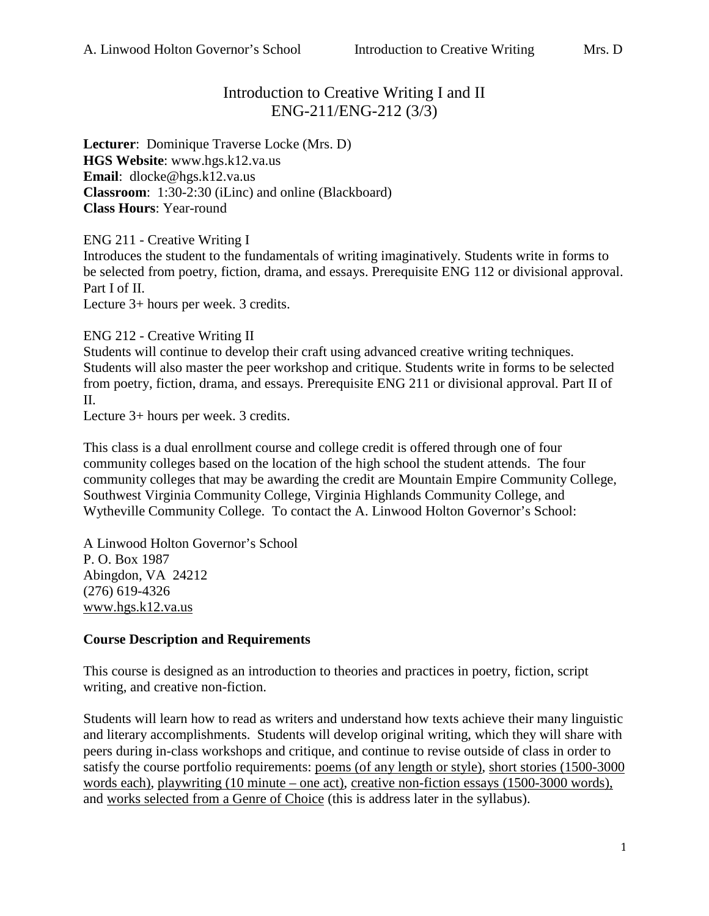# Introduction to Creative Writing I and II ENG-211/ENG-212 (3/3)

**Lecturer**: Dominique Traverse Locke (Mrs. D) **HGS Website**: www.hgs.k12.va.us **Email**: dlocke@hgs.k12.va.us **Classroom**: 1:30-2:30 (iLinc) and online (Blackboard) **Class Hours**: Year-round

ENG 211 - Creative Writing I

Introduces the student to the fundamentals of writing imaginatively. Students write in forms to be selected from poetry, fiction, drama, and essays. Prerequisite ENG 112 or divisional approval. Part I of II.

Lecture 3+ hours per week. 3 credits.

ENG 212 - Creative Writing II

Students will continue to develop their craft using advanced creative writing techniques. Students will also master the peer workshop and critique. Students write in forms to be selected from poetry, fiction, drama, and essays. Prerequisite ENG 211 or divisional approval. Part II of II.

Lecture 3+ hours per week. 3 credits.

This class is a dual enrollment course and college credit is offered through one of four community colleges based on the location of the high school the student attends. The four community colleges that may be awarding the credit are Mountain Empire Community College, Southwest Virginia Community College, Virginia Highlands Community College, and Wytheville Community College. To contact the A. Linwood Holton Governor's School:

A Linwood Holton Governor's School P. O. Box 1987 Abingdon, VA 24212 (276) 619-4326 [www.hgs.k12.va.us](http://www.hgs.k12.va.us/)

#### **Course Description and Requirements**

This course is designed as an introduction to theories and practices in poetry, fiction, script writing, and creative non-fiction.

Students will learn how to read as writers and understand how texts achieve their many linguistic and literary accomplishments. Students will develop original writing, which they will share with peers during in-class workshops and critique, and continue to revise outside of class in order to satisfy the course portfolio requirements: poems (of any length or style), short stories (1500-3000 words each), playwriting (10 minute – one act), creative non-fiction essays (1500-3000 words), and works selected from a Genre of Choice (this is address later in the syllabus).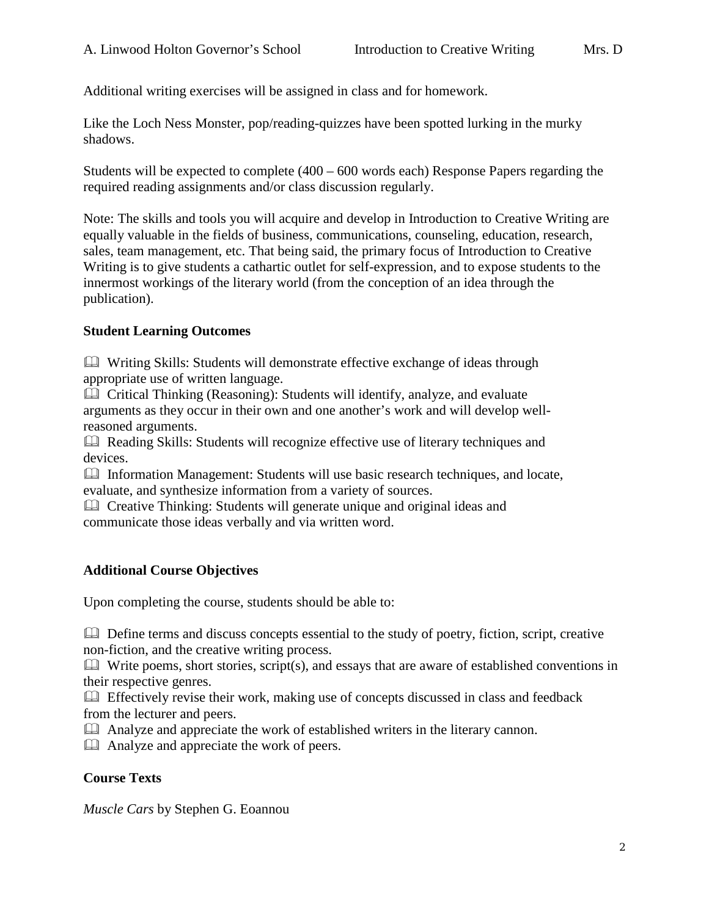Additional writing exercises will be assigned in class and for homework.

Like the Loch Ness Monster, pop/reading-quizzes have been spotted lurking in the murky shadows.

Students will be expected to complete (400 – 600 words each) Response Papers regarding the required reading assignments and/or class discussion regularly.

Note: The skills and tools you will acquire and develop in Introduction to Creative Writing are equally valuable in the fields of business, communications, counseling, education, research, sales, team management, etc. That being said, the primary focus of Introduction to Creative Writing is to give students a cathartic outlet for self-expression, and to expose students to the innermost workings of the literary world (from the conception of an idea through the publication).

## **Student Learning Outcomes**

 Writing Skills: Students will demonstrate effective exchange of ideas through appropriate use of written language.

 Critical Thinking (Reasoning): Students will identify, analyze, and evaluate arguments as they occur in their own and one another's work and will develop wellreasoned arguments.

 Reading Skills: Students will recognize effective use of literary techniques and devices.

 Information Management: Students will use basic research techniques, and locate, evaluate, and synthesize information from a variety of sources.

 Creative Thinking: Students will generate unique and original ideas and communicate those ideas verbally and via written word.

# **Additional Course Objectives**

Upon completing the course, students should be able to:

 Define terms and discuss concepts essential to the study of poetry, fiction, script, creative non-fiction, and the creative writing process.

 $\Box$  Write poems, short stories, script(s), and essays that are aware of established conventions in their respective genres.

 Effectively revise their work, making use of concepts discussed in class and feedback from the lecturer and peers.

Analyze and appreciate the work of established writers in the literary cannon.

Analyze and appreciate the work of peers.

#### **Course Texts**

*Muscle Cars* by Stephen G. Eoannou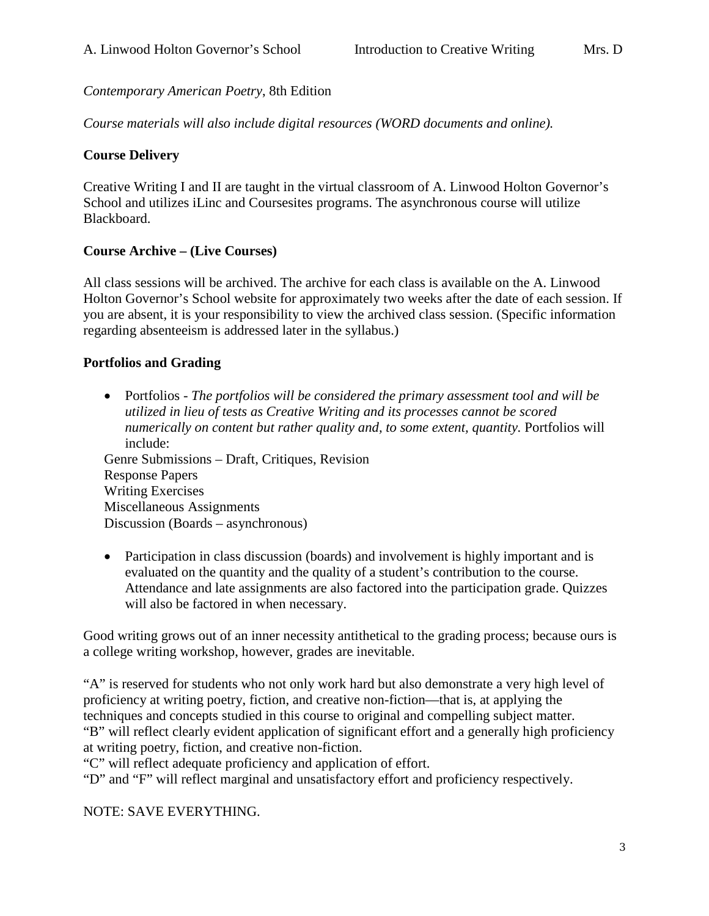*Contemporary American Poetry*, 8th Edition

*Course materials will also include digital resources (WORD documents and online).* 

#### **Course Delivery**

Creative Writing I and II are taught in the virtual classroom of A. Linwood Holton Governor's School and utilizes iLinc and Coursesites programs. The asynchronous course will utilize Blackboard.

## **Course Archive – (Live Courses)**

All class sessions will be archived. The archive for each class is available on the A. Linwood Holton Governor's School website for approximately two weeks after the date of each session. If you are absent, it is your responsibility to view the archived class session. (Specific information regarding absenteeism is addressed later in the syllabus.)

## **Portfolios and Grading**

• Portfolios - *The portfolios will be considered the primary assessment tool and will be utilized in lieu of tests as Creative Writing and its processes cannot be scored numerically on content but rather quality and, to some extent, quantity.* Portfolios will include:

Genre Submissions – Draft, Critiques, Revision Response Papers Writing Exercises Miscellaneous Assignments Discussion (Boards – asynchronous)

• Participation in class discussion (boards) and involvement is highly important and is evaluated on the quantity and the quality of a student's contribution to the course. Attendance and late assignments are also factored into the participation grade. Quizzes will also be factored in when necessary.

Good writing grows out of an inner necessity antithetical to the grading process; because ours is a college writing workshop, however, grades are inevitable.

"A" is reserved for students who not only work hard but also demonstrate a very high level of proficiency at writing poetry, fiction, and creative non-fiction—that is, at applying the techniques and concepts studied in this course to original and compelling subject matter. "B" will reflect clearly evident application of significant effort and a generally high proficiency at writing poetry, fiction, and creative non-fiction.

"C" will reflect adequate proficiency and application of effort.

"D" and "F" will reflect marginal and unsatisfactory effort and proficiency respectively.

NOTE: SAVE EVERYTHING.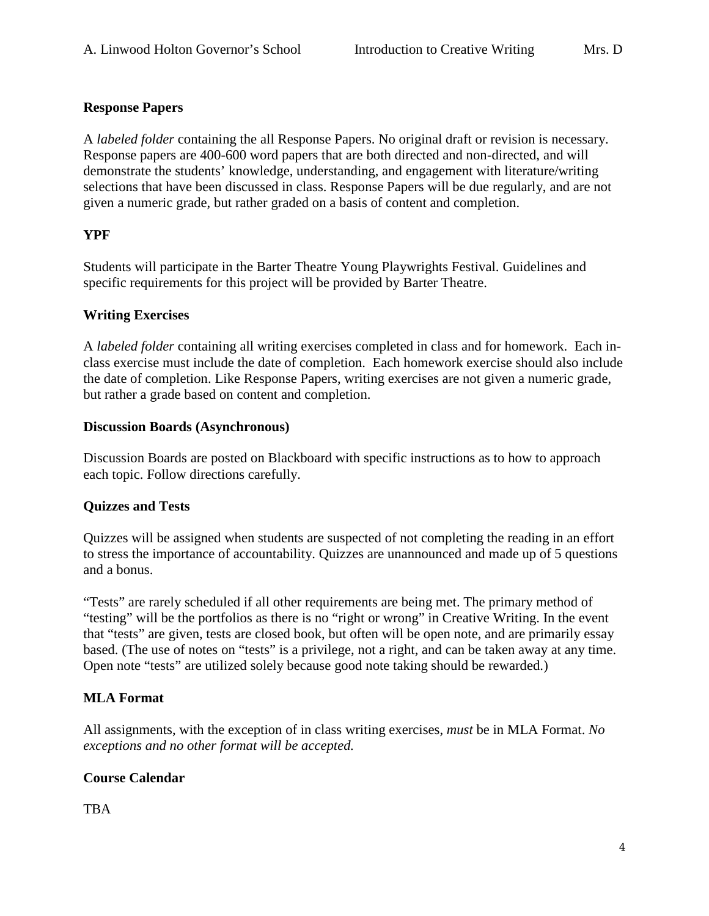## **Response Papers**

A *labeled folder* containing the all Response Papers. No original draft or revision is necessary. Response papers are 400-600 word papers that are both directed and non-directed, and will demonstrate the students' knowledge, understanding, and engagement with literature/writing selections that have been discussed in class. Response Papers will be due regularly, and are not given a numeric grade, but rather graded on a basis of content and completion.

## **YPF**

Students will participate in the Barter Theatre Young Playwrights Festival. Guidelines and specific requirements for this project will be provided by Barter Theatre.

#### **Writing Exercises**

A *labeled folder* containing all writing exercises completed in class and for homework. Each inclass exercise must include the date of completion. Each homework exercise should also include the date of completion. Like Response Papers, writing exercises are not given a numeric grade, but rather a grade based on content and completion.

#### **Discussion Boards (Asynchronous)**

Discussion Boards are posted on Blackboard with specific instructions as to how to approach each topic. Follow directions carefully.

#### **Quizzes and Tests**

Quizzes will be assigned when students are suspected of not completing the reading in an effort to stress the importance of accountability. Quizzes are unannounced and made up of 5 questions and a bonus.

"Tests" are rarely scheduled if all other requirements are being met. The primary method of "testing" will be the portfolios as there is no "right or wrong" in Creative Writing. In the event that "tests" are given, tests are closed book, but often will be open note, and are primarily essay based. (The use of notes on "tests" is a privilege, not a right, and can be taken away at any time. Open note "tests" are utilized solely because good note taking should be rewarded.)

# **MLA Format**

All assignments, with the exception of in class writing exercises, *must* be in MLA Format. *No exceptions and no other format will be accepted.*

# **Course Calendar**

TBA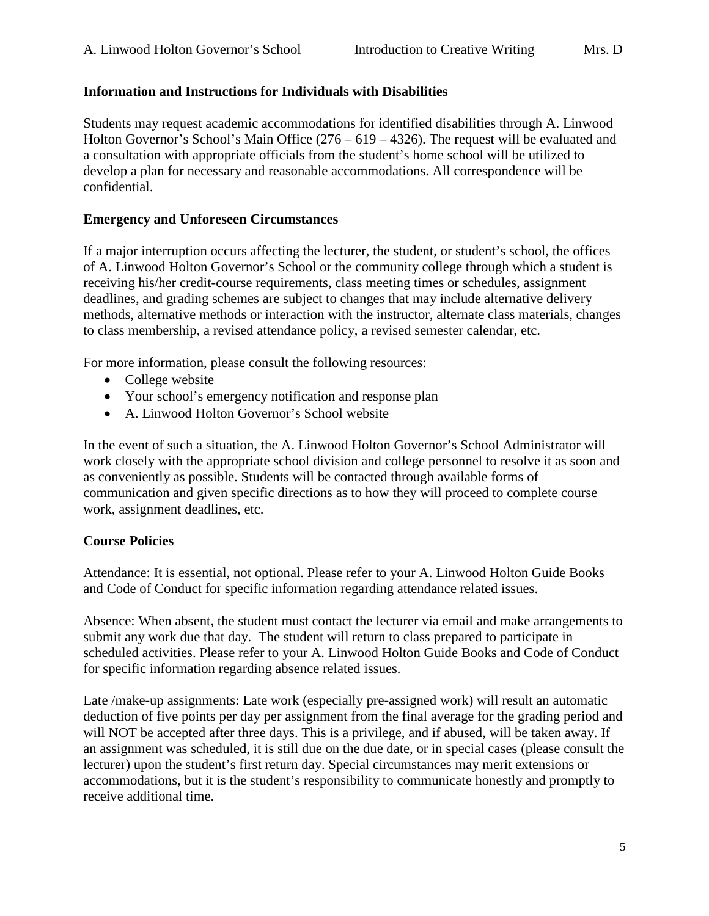#### **Information and Instructions for Individuals with Disabilities**

Students may request academic accommodations for identified disabilities through A. Linwood Holton Governor's School's Main Office (276 – 619 – 4326). The request will be evaluated and a consultation with appropriate officials from the student's home school will be utilized to develop a plan for necessary and reasonable accommodations. All correspondence will be confidential.

#### **Emergency and Unforeseen Circumstances**

If a major interruption occurs affecting the lecturer, the student, or student's school, the offices of A. Linwood Holton Governor's School or the community college through which a student is receiving his/her credit-course requirements, class meeting times or schedules, assignment deadlines, and grading schemes are subject to changes that may include alternative delivery methods, alternative methods or interaction with the instructor, alternate class materials, changes to class membership, a revised attendance policy, a revised semester calendar, etc.

For more information, please consult the following resources:

- College website
- Your school's emergency notification and response plan
- A. Linwood Holton Governor's School website

In the event of such a situation, the A. Linwood Holton Governor's School Administrator will work closely with the appropriate school division and college personnel to resolve it as soon and as conveniently as possible. Students will be contacted through available forms of communication and given specific directions as to how they will proceed to complete course work, assignment deadlines, etc.

#### **Course Policies**

Attendance: It is essential, not optional. Please refer to your A. Linwood Holton Guide Books and Code of Conduct for specific information regarding attendance related issues.

Absence: When absent, the student must contact the lecturer via email and make arrangements to submit any work due that day. The student will return to class prepared to participate in scheduled activities. Please refer to your A. Linwood Holton Guide Books and Code of Conduct for specific information regarding absence related issues.

Late /make-up assignments: Late work (especially pre-assigned work) will result an automatic deduction of five points per day per assignment from the final average for the grading period and will NOT be accepted after three days. This is a privilege, and if abused, will be taken away. If an assignment was scheduled, it is still due on the due date, or in special cases (please consult the lecturer) upon the student's first return day. Special circumstances may merit extensions or accommodations, but it is the student's responsibility to communicate honestly and promptly to receive additional time.